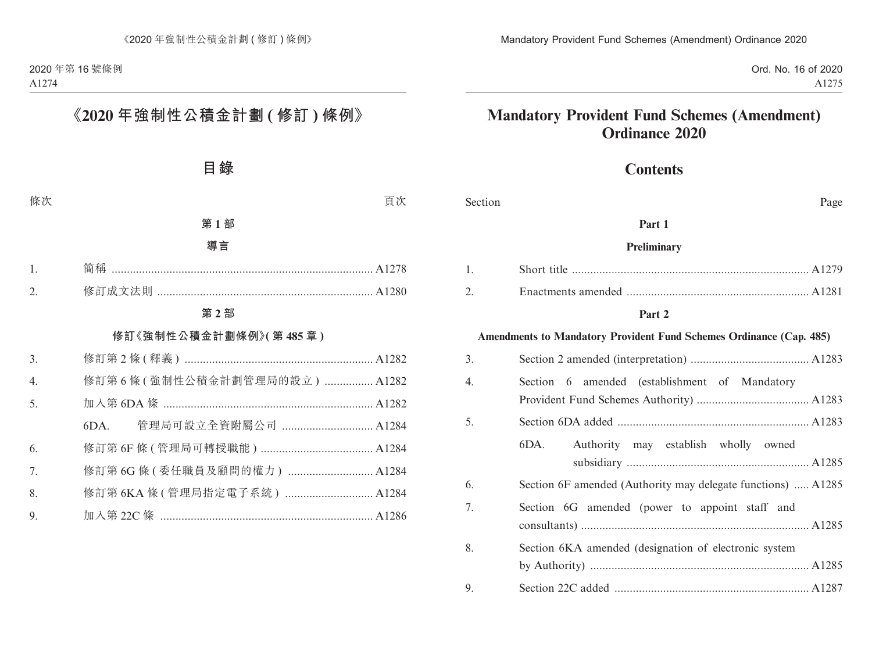# **Contents**

| Section<br>Page  |                                                                     |  |
|------------------|---------------------------------------------------------------------|--|
|                  | Part 1                                                              |  |
|                  | <b>Preliminary</b>                                                  |  |
| 1.               |                                                                     |  |
| 2.               |                                                                     |  |
|                  | Part 2                                                              |  |
|                  | Amendments to Mandatory Provident Fund Schemes Ordinance (Cap. 485) |  |
| 3.               |                                                                     |  |
| $\overline{4}$ . | Section 6 amended (establishment of Mandatory                       |  |
|                  |                                                                     |  |
| 5.               |                                                                     |  |
|                  | Authority may establish wholly owned<br>6DA.                        |  |
|                  |                                                                     |  |
| 6.               | Section 6F amended (Authority may delegate functions)  A1285        |  |
| 7.               | Section 6G amended (power to appoint staff and                      |  |
|                  |                                                                     |  |
| 8.               | Section 6KA amended (designation of electronic system               |  |
|                  |                                                                     |  |
| 9.               |                                                                     |  |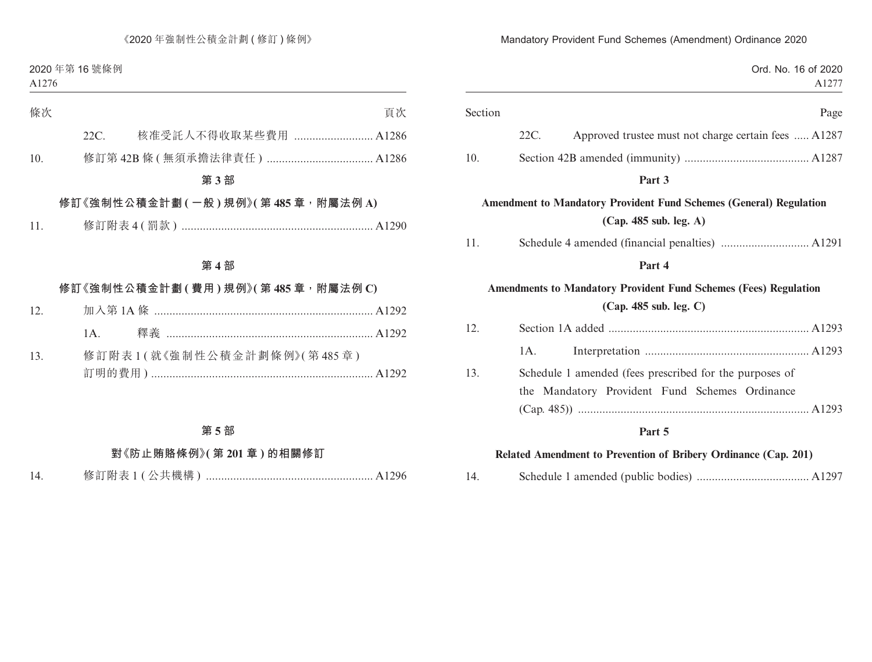| Ord. No. 16 of 2020<br>A1277                                                                        |         |
|-----------------------------------------------------------------------------------------------------|---------|
| Page                                                                                                | Section |
| 22C.<br>Approved trustee must not charge certain fees  A1287                                        |         |
|                                                                                                     | 10.     |
| Part 3                                                                                              |         |
| <b>Amendment to Mandatory Provident Fund Schemes (General) Regulation</b><br>(Cap. 485 sub. leg. A) |         |
|                                                                                                     | 11.     |
| Part 4                                                                                              |         |
| <b>Amendments to Mandatory Provident Fund Schemes (Fees) Regulation</b><br>(Cap. 485 sub. leg. C)   |         |
|                                                                                                     | 12.     |
| 1A.                                                                                                 |         |
| Schedule 1 amended (fees prescribed for the purposes of                                             | 13.     |
| Mandatory Provident Fund Schemes Ordinance<br>the                                                   |         |
|                                                                                                     |         |
| Part 5                                                                                              |         |
| Related Amendment to Prevention of Bribery Ordinance (Cap. 201)                                     |         |

14. Schedule 1 amended (public bodies) ..................................... A1297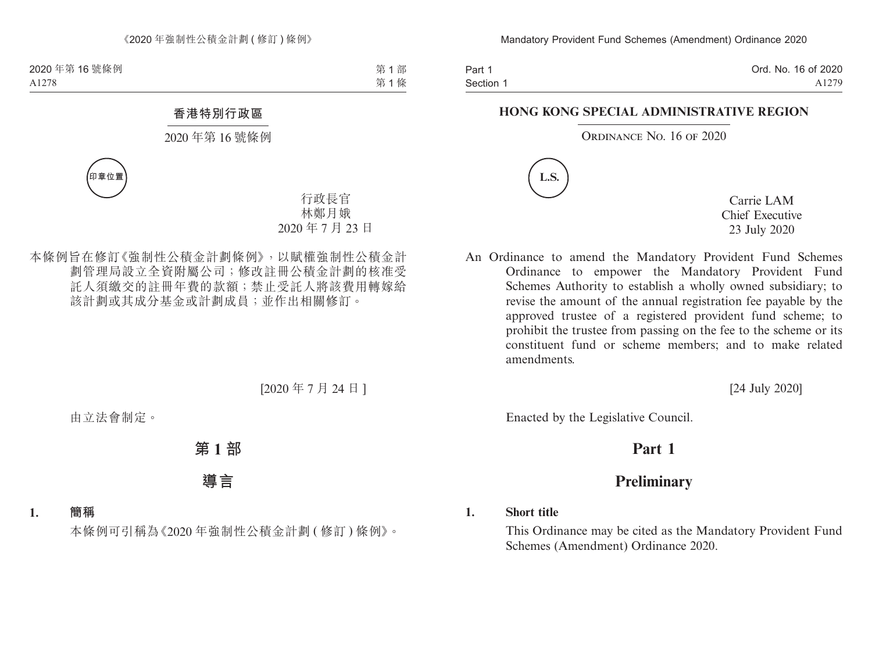Part 1 Section 1 Ord. No. 16 of 2020 A1279

#### **HONG KONG SPECIAL ADMINISTRATIVE REGION**

#### ORDINANCE NO. 16 OF 2020



Carrie LAM Chief Executive 23 July 2020

An Ordinance to amend the Mandatory Provident Fund Schemes Ordinance to empower the Mandatory Provident Fund Schemes Authority to establish a wholly owned subsidiary; to revise the amount of the annual registration fee payable by the approved trustee of a registered provident fund scheme; to prohibit the trustee from passing on the fee to the scheme or its constituent fund or scheme members; and to make related amendments.

[24 July 2020]

Enacted by the Legislative Council.

# **Part 1**

# **Preliminary**

#### **1. Short title**

This Ordinance may be cited as the Mandatory Provident Fund Schemes (Amendment) Ordinance 2020.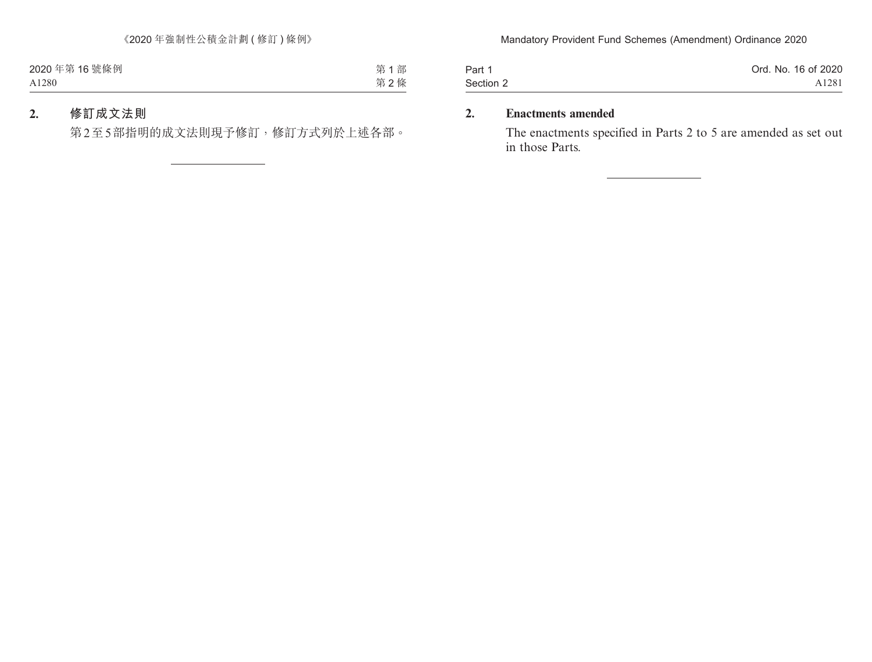| Part 1    | Ord. No. 16 of 2020 |
|-----------|---------------------|
| Section 2 | A1281               |

## **2. Enactments amended**

The enactments specified in Parts 2 to 5 are amended as set out in those Parts.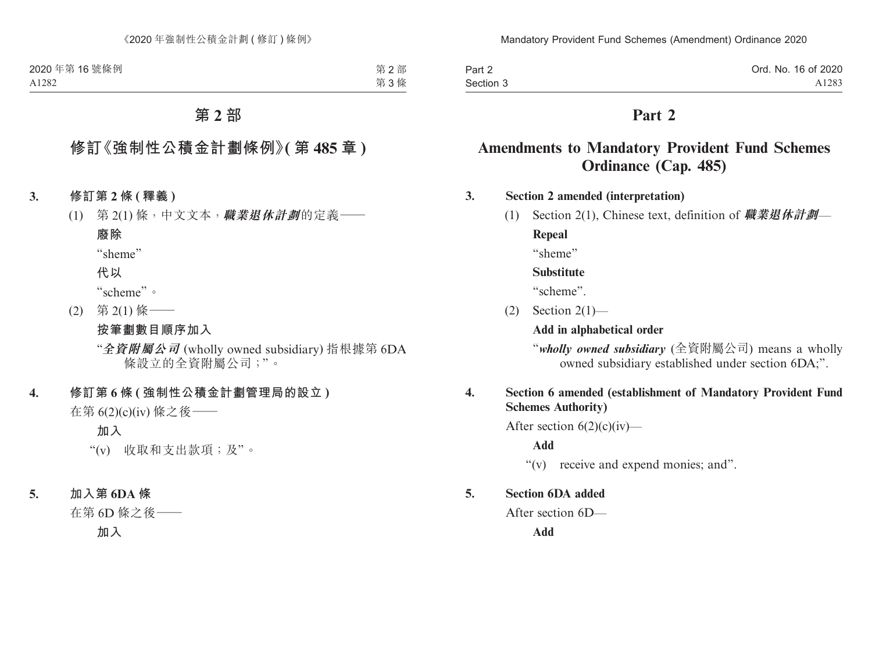| Part 2    | Ord. No. 16 of 2020 |
|-----------|---------------------|
| Section 3 | A <sub>1283</sub>   |

# **Amendments to Mandatory Provident Fund Schemes Ordinance (Cap. 485)**

### **3. Section 2 amended (interpretation)**

(1) Section 2(1), Chinese text, definition of **職業退休計劃**—

**Repeal**

"sheme"

#### **Substitute**

"scheme".

 $(2)$  Section  $2(1)$ —

**Add in alphabetical order**

"*wholly owned subsidiary* (全資附屬公司) means a wholly owned subsidiary established under section 6DA;".

### **4. Section 6 amended (establishment of Mandatory Provident Fund Schemes Authority)**

After section  $6(2)(c)(iv)$ —

**Add**

"(v) receive and expend monies; and".

#### **5. Section 6DA added**

After section 6D—

**Add**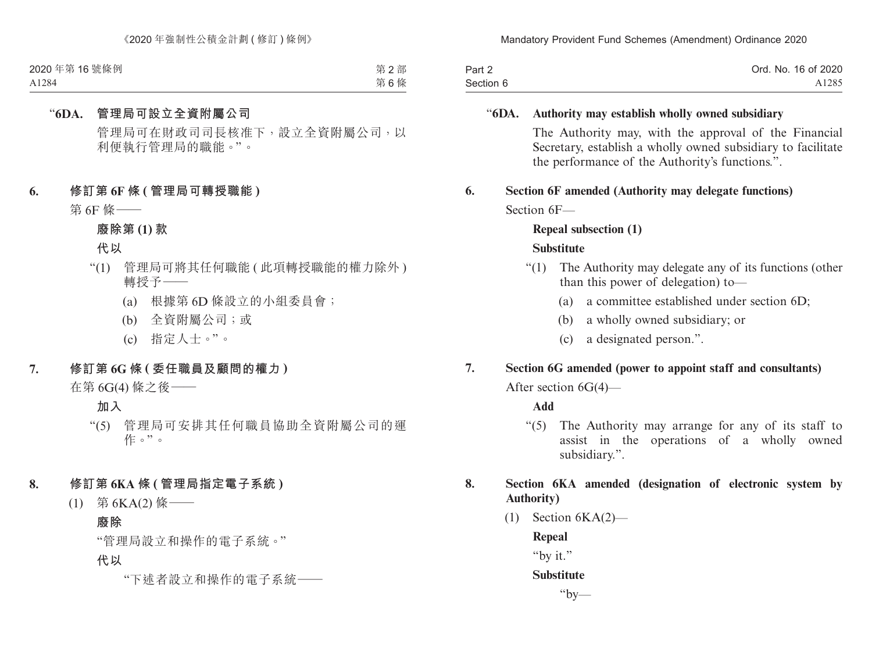| Part 2    | Ord. No. 16 of 2020 |
|-----------|---------------------|
| Section 6 | A1285               |

### "**6DA. Authority may establish wholly owned subsidiary**

The Authority may, with the approval of the Financial Secretary, establish a wholly owned subsidiary to facilitate the performance of the Authority's functions.".

# **6. Section 6F amended (Authority may delegate functions)**

Section 6F—

## **Repeal subsection (1)**

### **Substitute**

- "(1) The Authority may delegate any of its functions (other than this power of delegation) to—
	- (a) a committee established under section 6D;
	- (b) a wholly owned subsidiary; or
	- (c) a designated person.".

# **7. Section 6G amended (power to appoint staff and consultants)**

After section 6G(4)—

### **Add**

"(5) The Authority may arrange for any of its staff to assist in the operations of a wholly owned subsidiary.".

## **8. Section 6KA amended (designation of electronic system by Authority)**

 $(1)$  Section  $6KA(2)$ —

**Repeal**

"by it."

### **Substitute**

 $"bv$ —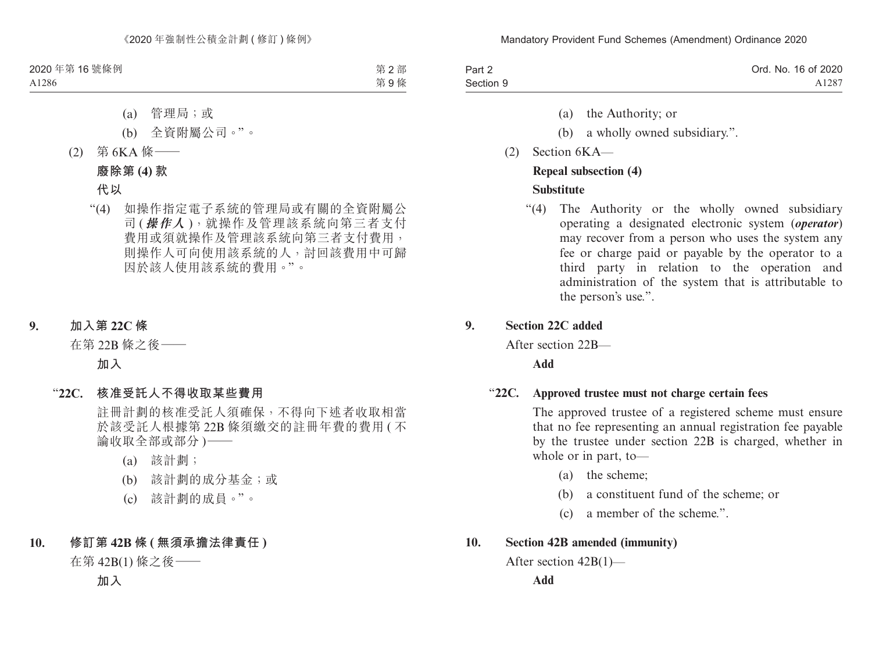| Part 2    | Ord. No. 16 of 2020 |
|-----------|---------------------|
| Section 9 | A1287               |

- (a) the Authority; or
- (b) a wholly owned subsidiary.".
- (2) Section 6KA—

### **Repeal subsection (4)**

## **Substitute**

"(4) The Authority or the wholly owned subsidiary operating a designated electronic system (*operator*) may recover from a person who uses the system any fee or charge paid or payable by the operator to a third party in relation to the operation and administration of the system that is attributable to the person's use.".

## **9. Section 22C added**

After section 22B—

**Add**

### "**22C. Approved trustee must not charge certain fees**

The approved trustee of a registered scheme must ensure that no fee representing an annual registration fee payable by the trustee under section 22B is charged, whether in whole or in part, to—

- (a) the scheme;
- (b) a constituent fund of the scheme; or
- (c) a member of the scheme.".

## **10. Section 42B amended (immunity)**

```
After section 42B(1)—
```
**Add**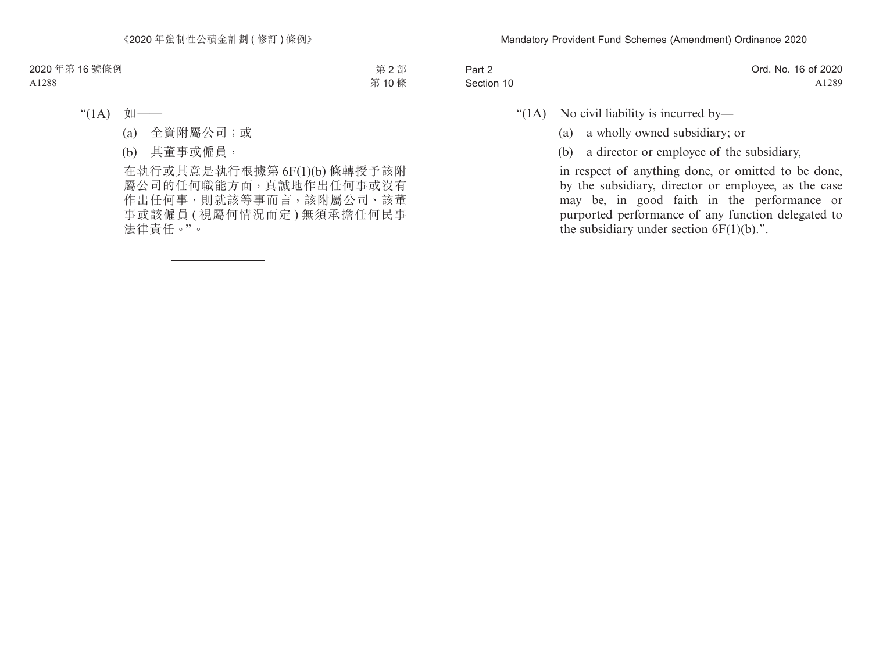| Part 2     | Ord. No. 16 of 2020 |
|------------|---------------------|
| Section 10 | A1289               |

"( $1A$ ) No civil liability is incurred by—

- (a) a wholly owned subsidiary; or
- (b) a director or employee of the subsidiary,

in respect of anything done, or omitted to be done, by the subsidiary, director or employee, as the case may be, in good faith in the performance or purported performance of any function delegated to the subsidiary under section  $6F(1)(b)$ .".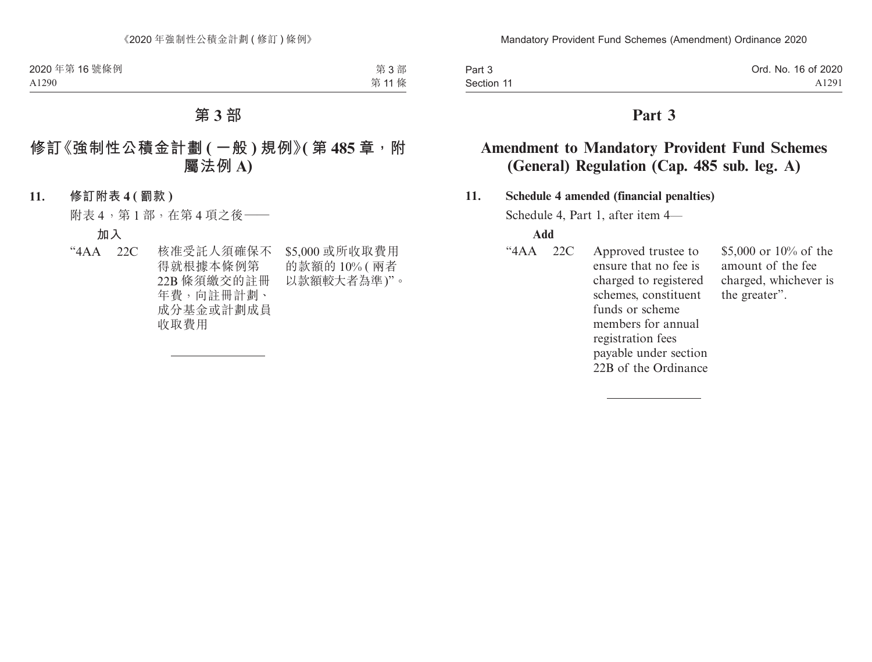| Part 3     | Ord. No. 16 of 2020 |
|------------|---------------------|
| Section 11 | A <sub>1291</sub>   |

# **Amendment to Mandatory Provident Fund Schemes (General) Regulation (Cap. 485 sub. leg. A)**

#### **11. Schedule 4 amended (financial penalties)**

Schedule 4, Part 1, after item 4—

#### **Add**

"4AA 22C Approved trustee to ensure that no fee is charged to registered schemes, constituent funds or scheme members for annual registration fees payable under section 22B of the Ordinance \$5,000 or 10% of the amount of the fee charged, whichever is the greater".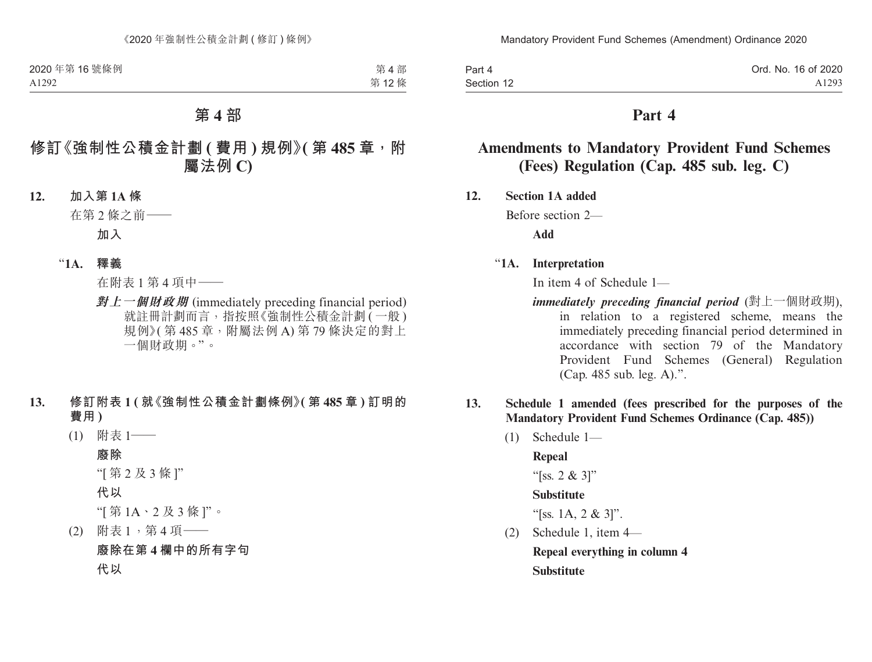| Part 4     | Ord. No. 16 of 2020 |
|------------|---------------------|
| Section 12 | A1293               |

# **Amendments to Mandatory Provident Fund Schemes (Fees) Regulation (Cap. 485 sub. leg. C)**

**12. Section 1A added**

Before section 2—

**Add**

### "**1A. Interpretation**

In item 4 of Schedule 1—

- *immediately preceding financial period* (對上一個財政期), in relation to a registered scheme, means the immediately preceding financial period determined in accordance with section 79 of the Mandatory Provident Fund Schemes (General) Regulation (Cap. 485 sub. leg. A).".
- **13. Schedule 1 amended (fees prescribed for the purposes of the Mandatory Provident Fund Schemes Ordinance (Cap. 485))**
	- (1) Schedule 1—

**Repeal**

"[ss. 2 & 3]"

#### **Substitute**

"[ss. 1A, 2 & 3]".

(2) Schedule 1, item 4— **Repeal everything in column 4 Substitute**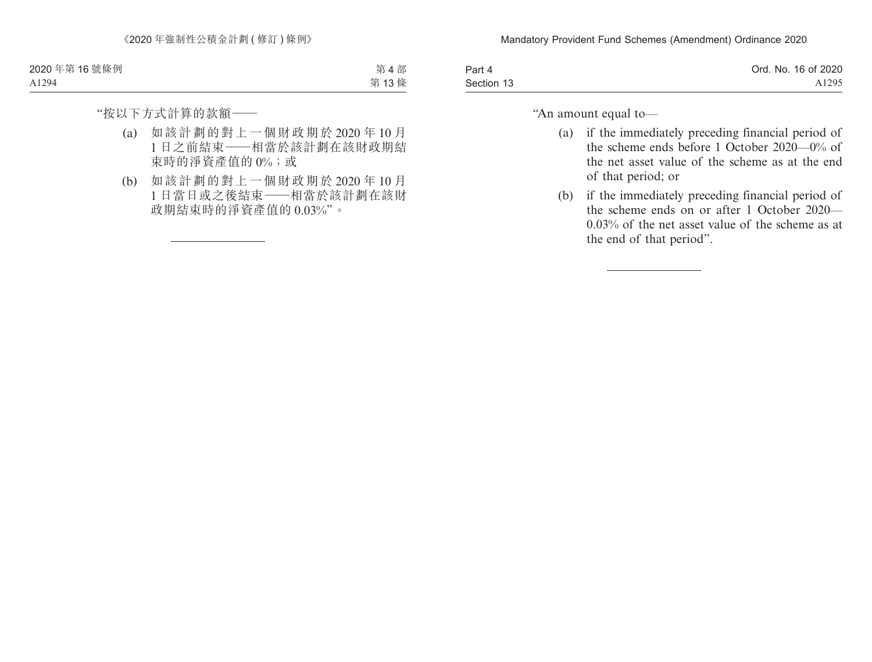| Part 4     | Ord. No. 16 of 2020 |
|------------|---------------------|
| Section 13 | A <sub>1295</sub>   |

"An amount equal to—

- (a) if the immediately preceding financial period of the scheme ends before 1 October 2020—0% of the net asset value of the scheme as at the end of that period; or
- (b) if the immediately preceding financial period of the scheme ends on or after 1 October 2020— 0.03% of the net asset value of the scheme as at the end of that period".